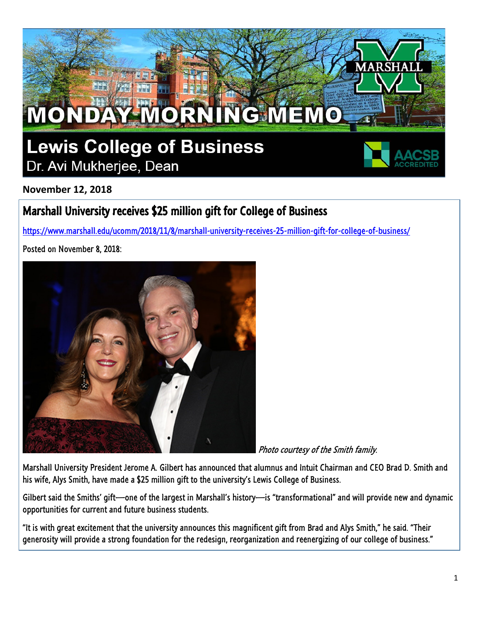

**November 12, 2018**

## Marshall University receives \$25 million gift for College of Business

<https://www.marshall.edu/ucomm/2018/11/8/marshall-university-receives-25-million-gift-for-college-of-business/>

Posted on November 8, 2018:



Photo courtesy of the Smith family.

Marshall University President Jerome A. Gilbert has announced that alumnus and Intuit Chairman and CEO Brad D. Smith and his wife, Alys Smith, have made a \$25 million gift to the university's Lewis College of Business.

Gilbert said the Smiths' gift—one of the largest in Marshall's history—is "transformational" and will provide new and dynamic opportunities for current and future business students.

"It is with great excitement that the university announces this magnificent gift from Brad and Alys Smith," he said. "Their generosity will provide a strong foundation for the redesign, reorganization and reenergizing of our college of business."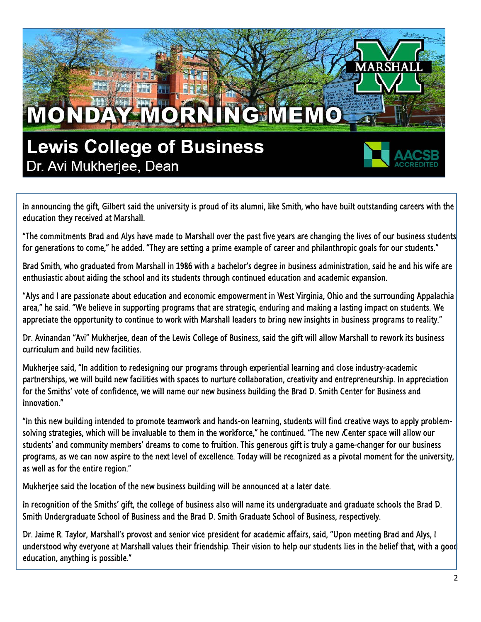## MONDAY MORNING MEMO **Lewis College of Business** Dr. Avi Mukherjee, Dean

In announcing the gift, Gilbert said the university is proud of its alumni, like Smith, who have built outstanding careers with the education they received at Marshall.

"The commitments Brad and Alys have made to Marshall over the past five years are changing the lives of our business students for generations to come," he added. "They are setting a prime example of career and philanthropic goals for our students."

Brad Smith, who graduated from Marshall in 1986 with a bachelor's degree in business administration, said he and his wife are enthusiastic about aiding the school and its students through continued education and academic expansion.

"Alys and I are passionate about education and economic empowerment in West Virginia, Ohio and the surrounding Appalachia area," he said. "We believe in supporting programs that are strategic, enduring and making a lasting impact on students. We appreciate the opportunity to continue to work with Marshall leaders to bring new insights in business programs to reality."

Dr. Avinandan "Avi" Mukherjee, dean of the Lewis College of Business, said the gift will allow Marshall to rework its business curriculum and build new facilities.

Mukherjee said, "In addition to redesigning our programs through experiential learning and close industry-academic partnerships, we will build new facilities with spaces to nurture collaboration, creativity and entrepreneurship. In appreciation for the Smiths' vote of confidence, we will name our new business building the Brad D. Smith Center for Business and Innovation."

"In this new building intended to promote teamwork and hands-on learning, students will find creative ways to apply problemsolving strategies, which will be invaluable to them in the workforce," he continued. "The new *Center space will allow our* students' and community members' dreams to come to fruition. This generous gift is truly a game-changer for our business programs, as we can now aspire to the next level of excellence. Today will be recognized as a pivotal moment for the university, as well as for the entire region."

Mukherjee said the location of the new business building will be announced at a later date.

In recognition of the Smiths' gift, the college of business also will name its undergraduate and graduate schools the Brad D. Smith Undergraduate School of Business and the Brad D. Smith Graduate School of Business, respectively.

Dr. Jaime R. Taylor, Marshall's provost and senior vice president for academic affairs, said, "Upon meeting Brad and Alys, I understood why everyone at Marshall values their friendship. Their vision to help our students lies in the belief that, with a good education, anything is possible."